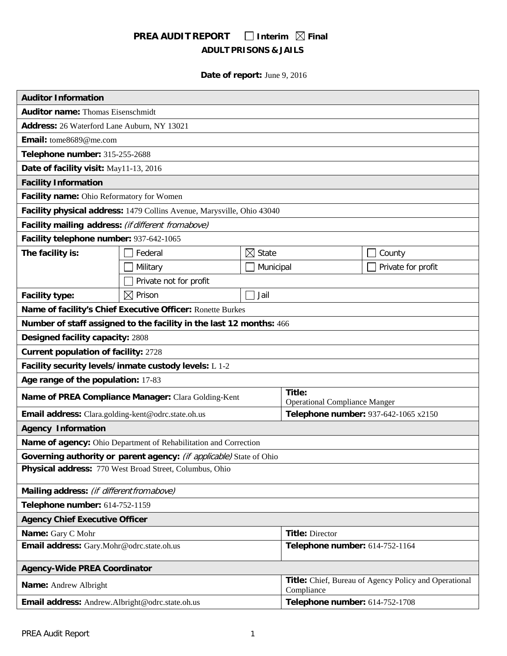# **PREA AUDIT REPORT** □ Interim  $\boxtimes$  Final **ADULT PRISONS & JAILS**

## **Date of report:** June 9, 2016

| <b>Auditor Information</b>                                             |                                                                     |                                |                                                                     |                    |  |  |  |  |
|------------------------------------------------------------------------|---------------------------------------------------------------------|--------------------------------|---------------------------------------------------------------------|--------------------|--|--|--|--|
| <b>Auditor name: Thomas Eisenschmidt</b>                               |                                                                     |                                |                                                                     |                    |  |  |  |  |
| Address: 26 Waterford Lane Auburn, NY 13021                            |                                                                     |                                |                                                                     |                    |  |  |  |  |
| Email: tome8689@me.com                                                 |                                                                     |                                |                                                                     |                    |  |  |  |  |
| Telephone number: 315-255-2688                                         |                                                                     |                                |                                                                     |                    |  |  |  |  |
| Date of facility visit: May11-13, 2016                                 |                                                                     |                                |                                                                     |                    |  |  |  |  |
| <b>Facility Information</b>                                            |                                                                     |                                |                                                                     |                    |  |  |  |  |
| Facility name: Ohio Reformatory for Women                              |                                                                     |                                |                                                                     |                    |  |  |  |  |
| Facility physical address: 1479 Collins Avenue, Marysville, Ohio 43040 |                                                                     |                                |                                                                     |                    |  |  |  |  |
| Facility mailing address: (if different from above)                    |                                                                     |                                |                                                                     |                    |  |  |  |  |
| Facility telephone number: 937-642-1065                                |                                                                     |                                |                                                                     |                    |  |  |  |  |
| The facility is:<br>Federal                                            |                                                                     | $\boxtimes$ State              |                                                                     | County             |  |  |  |  |
|                                                                        | Military                                                            | Municipal                      |                                                                     | Private for profit |  |  |  |  |
|                                                                        | Private not for profit                                              |                                |                                                                     |                    |  |  |  |  |
| <b>Facility type:</b>                                                  | $\boxtimes$ Prison                                                  | Jail                           |                                                                     |                    |  |  |  |  |
| Name of facility's Chief Executive Officer: Ronette Burkes             |                                                                     |                                |                                                                     |                    |  |  |  |  |
| Number of staff assigned to the facility in the last 12 months: 466    |                                                                     |                                |                                                                     |                    |  |  |  |  |
| Designed facility capacity: 2808                                       |                                                                     |                                |                                                                     |                    |  |  |  |  |
| <b>Current population of facility: 2728</b>                            |                                                                     |                                |                                                                     |                    |  |  |  |  |
| Facility security levels/inmate custody levels: L 1-2                  |                                                                     |                                |                                                                     |                    |  |  |  |  |
| Age range of the population: 17-83                                     |                                                                     |                                |                                                                     |                    |  |  |  |  |
| Name of PREA Compliance Manager: Clara Golding-Kent                    |                                                                     |                                | Title:<br><b>Operational Compliance Manger</b>                      |                    |  |  |  |  |
| Email address: Clara.golding-kent@odrc.state.oh.us                     |                                                                     |                                | Telephone number: 937-642-1065 x2150                                |                    |  |  |  |  |
| <b>Agency Information</b>                                              |                                                                     |                                |                                                                     |                    |  |  |  |  |
|                                                                        | Name of agency: Ohio Department of Rehabilitation and Correction    |                                |                                                                     |                    |  |  |  |  |
|                                                                        | Governing authority or parent agency: (if applicable) State of Ohio |                                |                                                                     |                    |  |  |  |  |
| Physical address: 770 West Broad Street, Columbus, Ohio                |                                                                     |                                |                                                                     |                    |  |  |  |  |
| Mailing address: (if different from above)                             |                                                                     |                                |                                                                     |                    |  |  |  |  |
| Telephone number: 614-752-1159                                         |                                                                     |                                |                                                                     |                    |  |  |  |  |
| <b>Agency Chief Executive Officer</b>                                  |                                                                     |                                |                                                                     |                    |  |  |  |  |
| Name: Gary C Mohr                                                      |                                                                     |                                | <b>Title: Director</b>                                              |                    |  |  |  |  |
| Email address: Gary.Mohr@odrc.state.oh.us                              |                                                                     |                                | Telephone number: 614-752-1164                                      |                    |  |  |  |  |
| <b>Agency-Wide PREA Coordinator</b>                                    |                                                                     |                                |                                                                     |                    |  |  |  |  |
| Name: Andrew Albright                                                  |                                                                     |                                | Title: Chief, Bureau of Agency Policy and Operational<br>Compliance |                    |  |  |  |  |
| Email address: Andrew.Albright@odrc.state.oh.us                        |                                                                     | Telephone number: 614-752-1708 |                                                                     |                    |  |  |  |  |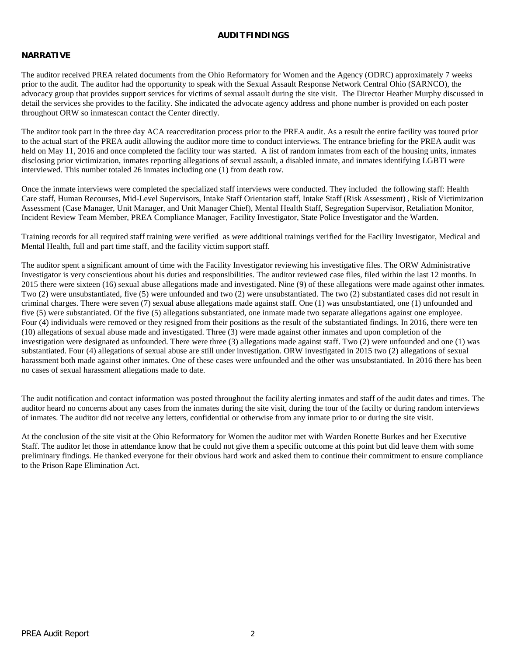### **AUDITFINDINGS**

### **NARRATIVE**

The auditor received PREA related documents from the Ohio Reformatory for Women and the Agency (ODRC) approximately 7 weeks prior to the audit. The auditor had the opportunity to speak with the Sexual Assault Response Network Central Ohio (SARNCO), the advocacy group that provides support services for victims of sexual assault during the site visit. The Director Heather Murphy discussed in detail the services she provides to the facility. She indicated the advocate agency address and phone number is provided on each poster throughout ORW so inmatescan contact the Center directly.

The auditor took part in the three day ACA reaccreditation process prior to the PREA audit. As a result the entire facility was toured prior to the actual start of the PREA audit allowing the auditor more time to conduct interviews. The entrance briefing for the PREA audit was held on May 11, 2016 and once completed the facility tour was started. A list of random inmates from each of the housing units, inmates disclosing prior victimization, inmates reporting allegations of sexual assault, a disabled inmate, and inmates identifying LGBTI were interviewed. This number totaled 26 inmates including one (1) from death row.

Once the inmate interviews were completed the specialized staff interviews were conducted. They included the following staff: Health Care staff, Human Recourses, Mid-Level Supervisors, Intake Staff Orientation staff, Intake Staff (Risk Assessment) , Risk of Victimization Assessment (Case Manager, Unit Manager, and Unit Manager Chief), Mental Health Staff, Segregation Supervisor, Retaliation Monitor, Incident Review Team Member, PREA Compliance Manager, Facility Investigator, State Police Investigator and the Warden.

Training records for all required staff training were verified as were additional trainings verified for the Facility Investigator, Medical and Mental Health, full and part time staff, and the facility victim support staff.

The auditor spent a significant amount of time with the Facility Investigator reviewing his investigative files. The ORW Administrative Investigator is very conscientious about his duties and responsibilities. The auditor reviewed case files, filed within the last 12 months. In 2015 there were sixteen (16) sexual abuse allegations made and investigated. Nine (9) of these allegations were made against other inmates. Two (2) were unsubstantiated, five (5) were unfounded and two (2) were unsubstantiated. The two (2) substantiated cases did not result in criminal charges. There were seven (7) sexual abuse allegations made against staff. One (1) was unsubstantiated, one (1) unfounded and five (5) were substantiated. Of the five (5) allegations substantiated, one inmate made two separate allegations against one employee. Four (4) individuals were removed or they resigned from their positions as the result of the substantiated findings. In 2016, there were ten (10) allegations of sexual abuse made and investigated. Three (3) were made against other inmates and upon completion of the investigation were designated as unfounded. There were three (3) allegations made against staff. Two (2) were unfounded and one (1) was substantiated. Four (4) allegations of sexual abuse are still under investigation. ORW investigated in 2015 two (2) allegations of sexual harassment both made against other inmates. One of these cases were unfounded and the other was unsubstantiated. In 2016 there has been no cases of sexual harassment allegations made to date.

The audit notification and contact information was posted throughout the facility alerting inmates and staff of the audit dates and times. The auditor heard no concerns about any cases from the inmates during the site visit, during the tour of the facilty or during random interviews of inmates. The auditor did not receive any letters, confidential or otherwise from any inmate prior to or during the site visit.

At the conclusion of the site visit at the Ohio Reformatory for Women the auditor met with Warden Ronette Burkes and her Executive Staff. The auditor let those in attendance know that he could not give them a specific outcome at this point but did leave them with some preliminary findings. He thanked everyone for their obvious hard work and asked them to continue their commitment to ensure compliance to the Prison Rape Elimination Act.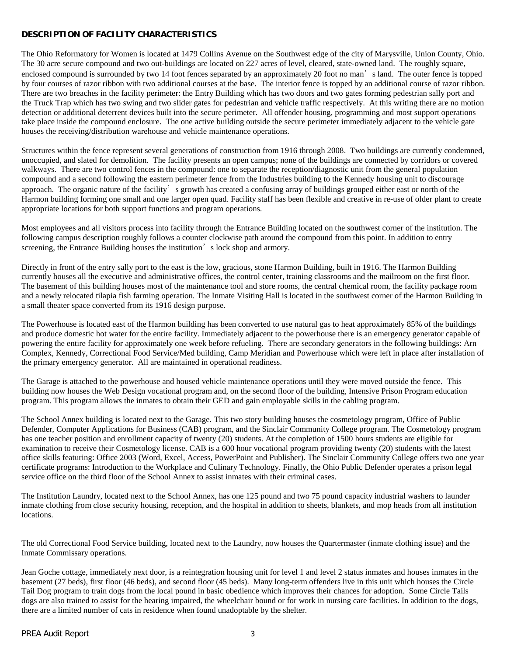### **DESCRIPTION OF FACILITY CHARACTERISTICS**

The Ohio Reformatory for Women is located at 1479 Collins Avenue on the Southwest edge of the city of Marysville, Union County, Ohio. The 30 acre secure compound and two out-buildings are located on 227 acres of level, cleared, state-owned land. The roughly square, enclosed compound is surrounded by two 14 foot fences separated by an approximately 20 foot no man's land. The outer fence is topped by four courses of razor ribbon with two additional courses at the base. The interior fence is topped by an additional course of razor ribbon. There are two breaches in the facility perimeter: the Entry Building which has two doors and two gates forming pedestrian sally port and the Truck Trap which has two swing and two slider gates for pedestrian and vehicle traffic respectively. At this writing there are no motion detection or additional deterrent devices built into the secure perimeter. All offender housing, programming and most support operations take place inside the compound enclosure. The one active building outside the secure perimeter immediately adjacent to the vehicle gate houses the receiving/distribution warehouse and vehicle maintenance operations.

Structures within the fence represent several generations of construction from 1916 through 2008. Two buildings are currently condemned, unoccupied, and slated for demolition. The facility presents an open campus; none of the buildings are connected by corridors or covered walkways. There are two control fences in the compound: one to separate the reception/diagnostic unit from the general population compound and a second following the eastern perimeter fence from the Industries building to the Kennedy housing unit to discourage approach. The organic nature of the facility's growth has created a confusing array of buildings grouped either east or north of the Harmon building forming one small and one larger open quad. Facility staff has been flexible and creative in re-use of older plant to create appropriate locations for both support functions and program operations.

Most employees and all visitors process into facility through the Entrance Building located on the southwest corner of the institution. The following campus description roughly follows a counter clockwise path around the compound from this point. In addition to entry screening, the Entrance Building houses the institution's lock shop and armory.

Directly in front of the entry sally port to the east is the low, gracious, stone Harmon Building, built in 1916. The Harmon Building currently houses all the executive and administrative offices, the control center, training classrooms and the mailroom on the first floor. The basement of this building houses most of the maintenance tool and store rooms, the central chemical room, the facility package room and a newly relocated tilapia fish farming operation. The Inmate Visiting Hall is located in the southwest corner of the Harmon Building in a small theater space converted from its 1916 design purpose.

The Powerhouse is located east of the Harmon building has been converted to use natural gas to heat approximately 85% of the buildings and produce domestic hot water for the entire facility. Immediately adjacent to the powerhouse there is an emergency generator capable of powering the entire facility for approximately one week before refueling. There are secondary generators in the following buildings: Arn Complex, Kennedy, Correctional Food Service/Med building, Camp Meridian and Powerhouse which were left in place after installation of the primary emergency generator. All are maintained in operational readiness.

The Garage is attached to the powerhouse and housed vehicle maintenance operations until they were moved outside the fence. This building now houses the Web Design vocational program and, on the second floor of the building, Intensive Prison Program education program. This program allows the inmates to obtain their GED and gain employable skills in the cabling program.

The School Annex building is located next to the Garage. This two story building houses the cosmetology program, Office of Public Defender, Computer Applications for Business (CAB) program, and the Sinclair Community College program. The Cosmetology program has one teacher position and enrollment capacity of twenty (20) students. At the completion of 1500 hours students are eligible for examination to receive their Cosmetology license. CAB is a 600 hour vocational program providing twenty (20) students with the latest office skills featuring: Office 2003 (Word, Excel, Access, PowerPoint and Publisher). The Sinclair Community College offers two one year certificate programs: Introduction to the Workplace and Culinary Technology. Finally, the Ohio Public Defender operates a prison legal service office on the third floor of the School Annex to assist inmates with their criminal cases.

The Institution Laundry, located next to the School Annex, has one 125 pound and two 75 pound capacity industrial washers to launder inmate clothing from close security housing, reception, and the hospital in addition to sheets, blankets, and mop heads from all institution locations.

The old Correctional Food Service building, located next to the Laundry, now houses the Quartermaster (inmate clothing issue) and the Inmate Commissary operations.

Jean Goche cottage, immediately next door, is a reintegration housing unit for level 1 and level 2 status inmates and houses inmates in the basement (27 beds), first floor (46 beds), and second floor (45 beds). Many long-term offenders live in this unit which houses the Circle Tail Dog program to train dogs from the local pound in basic obedience which improves their chances for adoption. Some Circle Tails dogs are also trained to assist for the hearing impaired, the wheelchair bound or for work in nursing care facilities. In addition to the dogs, there are a limited number of cats in residence when found unadoptable by the shelter.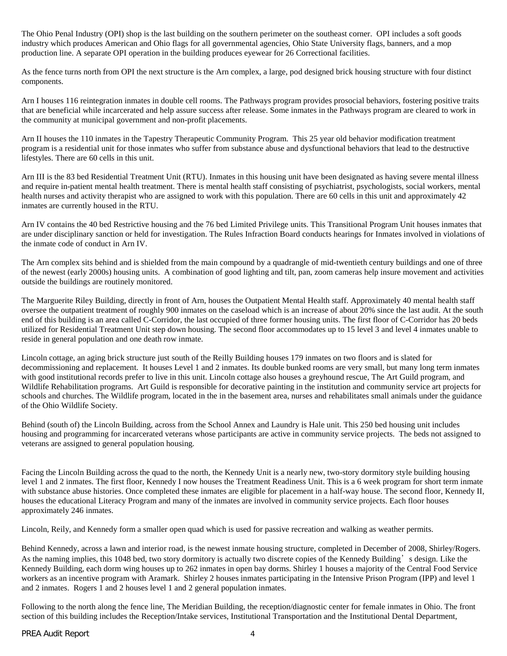The Ohio Penal Industry (OPI) shop is the last building on the southern perimeter on the southeast corner. OPI includes a soft goods industry which produces American and Ohio flags for all governmental agencies, Ohio State University flags, banners, and a mop production line. A separate OPI operation in the building produces eyewear for 26 Correctional facilities.

As the fence turns north from OPI the next structure is the Arn complex, a large, pod designed brick housing structure with four distinct components.

Arn I houses 116 reintegration inmates in double cell rooms. The Pathways program provides prosocial behaviors, fostering positive traits that are beneficial while incarcerated and help assure success after release. Some inmates in the Pathways program are cleared to work in the community at municipal government and non-profit placements.

Arn II houses the 110 inmates in the Tapestry Therapeutic Community Program. This 25 year old behavior modification treatment program is a residential unit for those inmates who suffer from substance abuse and dysfunctional behaviors that lead to the destructive lifestyles. There are 60 cells in this unit.

Arn III is the 83 bed Residential Treatment Unit (RTU). Inmates in this housing unit have been designated as having severe mental illness and require in-patient mental health treatment. There is mental health staff consisting of psychiatrist, psychologists, social workers, mental health nurses and activity therapist who are assigned to work with this population. There are 60 cells in this unit and approximately 42 inmates are currently housed in the RTU.

Arn IV contains the 40 bed Restrictive housing and the 76 bed Limited Privilege units. This Transitional Program Unit houses inmates that are under disciplinary sanction or held for investigation. The Rules Infraction Board conducts hearings for Inmates involved in violations of the inmate code of conduct in Arn IV.

The Arn complex sits behind and is shielded from the main compound by a quadrangle of mid-twentieth century buildings and one of three of the newest (early 2000s) housing units. A combination of good lighting and tilt, pan, zoom cameras help insure movement and activities outside the buildings are routinely monitored.

The Marguerite Riley Building, directly in front of Arn, houses the Outpatient Mental Health staff. Approximately 40 mental health staff oversee the outpatient treatment of roughly 900 inmates on the caseload which is an increase of about 20% since the last audit. At the south end of this building is an area called C-Corridor, the last occupied of three former housing units. The first floor of C-Corridor has 20 beds utilized for Residential Treatment Unit step down housing. The second floor accommodates up to 15 level 3 and level 4 inmates unable to reside in general population and one death row inmate.

Lincoln cottage, an aging brick structure just south of the Reilly Building houses 179 inmates on two floors and is slated for decommissioning and replacement. It houses Level 1 and 2 inmates. Its double bunked rooms are very small, but many long term inmates with good institutional records prefer to live in this unit. Lincoln cottage also houses a greyhound rescue, The Art Guild program, and Wildlife Rehabilitation programs. Art Guild is responsible for decorative painting in the institution and community service art projects for schools and churches. The Wildlife program, located in the in the basement area, nurses and rehabilitates small animals under the guidance of the Ohio Wildlife Society.

Behind (south of) the Lincoln Building, across from the School Annex and Laundry is Hale unit. This 250 bed housing unit includes housing and programming for incarcerated veterans whose participants are active in community service projects. The beds not assigned to veterans are assigned to general population housing.

Facing the Lincoln Building across the quad to the north, the Kennedy Unit is a nearly new, two-story dormitory style building housing level 1 and 2 inmates. The first floor, Kennedy I now houses the Treatment Readiness Unit. This is a 6 week program for short term inmate with substance abuse histories. Once completed these inmates are eligible for placement in a half-way house. The second floor, Kennedy II, houses the educational Literacy Program and many of the inmates are involved in community service projects. Each floor houses approximately 246 inmates.

Lincoln, Reily, and Kennedy form a smaller open quad which is used for passive recreation and walking as weather permits.

Behind Kennedy, across a lawn and interior road, is the newest inmate housing structure, completed in December of 2008, Shirley/Rogers. As the naming implies, this 1048 bed, two story dormitory is actually two discrete copies of the Kennedy Building's design. Like the Kennedy Building, each dorm wing houses up to 262 inmates in open bay dorms. Shirley 1 houses a majority of the Central Food Service workers as an incentive program with Aramark. Shirley 2 houses inmates participating in the Intensive Prison Program (IPP) and level 1 and 2 inmates. Rogers 1 and 2 houses level 1 and 2 general population inmates.

Following to the north along the fence line, The Meridian Building, the reception/diagnostic center for female inmates in Ohio. The front section of this building includes the Reception/Intake services, Institutional Transportation and the Institutional Dental Department,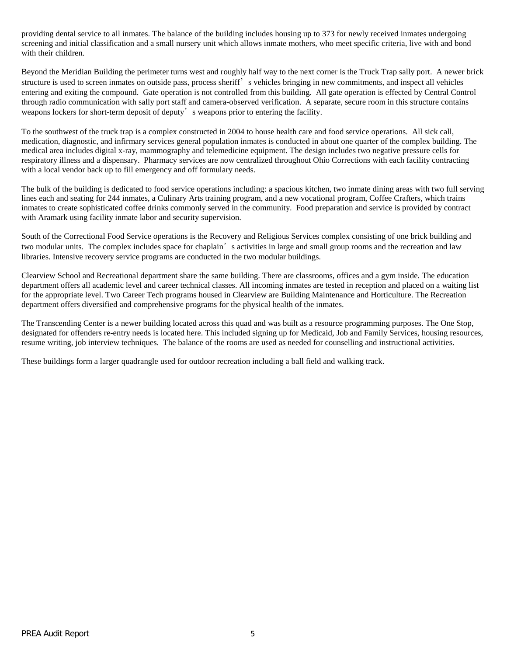providing dental service to all inmates. The balance of the building includes housing up to 373 for newly received inmates undergoing screening and initial classification and a small nursery unit which allows inmate mothers, who meet specific criteria, live with and bond with their children.

Beyond the Meridian Building the perimeter turns west and roughly half way to the next corner is the Truck Trap sally port. A newer brick structure is used to screen inmates on outside pass, process sheriff' s vehicles bringing in new commitments, and inspect all vehicles entering and exiting the compound. Gate operation is not controlled from this building. All gate operation is effected by Central Control through radio communication with sally port staff and camera-observed verification. A separate, secure room in this structure contains weapons lockers for short-term deposit of deputy's weapons prior to entering the facility.

To the southwest of the truck trap is a complex constructed in 2004 to house health care and food service operations. All sick call, medication, diagnostic, and infirmary services general population inmates is conducted in about one quarter of the complex building. The medical area includes digital x-ray, mammography and telemedicine equipment. The design includes two negative pressure cells for respiratory illness and a dispensary. Pharmacy services are now centralized throughout Ohio Corrections with each facility contracting with a local vendor back up to fill emergency and off formulary needs.

The bulk of the building is dedicated to food service operations including: a spacious kitchen, two inmate dining areas with two full serving lines each and seating for 244 inmates, a Culinary Arts training program, and a new vocational program, Coffee Crafters, which trains inmates to create sophisticated coffee drinks commonly served in the community. Food preparation and service is provided by contract with Aramark using facility inmate labor and security supervision.

South of the Correctional Food Service operations is the Recovery and Religious Services complex consisting of one brick building and two modular units. The complex includes space for chaplain's activities in large and small group rooms and the recreation and law libraries. Intensive recovery service programs are conducted in the two modular buildings.

Clearview School and Recreational department share the same building. There are classrooms, offices and a gym inside. The education department offers all academic level and career technical classes. All incoming inmates are tested in reception and placed on a waiting list for the appropriate level. Two Career Tech programs housed in Clearview are Building Maintenance and Horticulture. The Recreation department offers diversified and comprehensive programs for the physical health of the inmates.

The Transcending Center is a newer building located across this quad and was built as a resource programming purposes. The One Stop, designated for offenders re-entry needs is located here. This included signing up for Medicaid, Job and Family Services, housing resources, resume writing, job interview techniques. The balance of the rooms are used as needed for counselling and instructional activities.

These buildings form a larger quadrangle used for outdoor recreation including a ball field and walking track.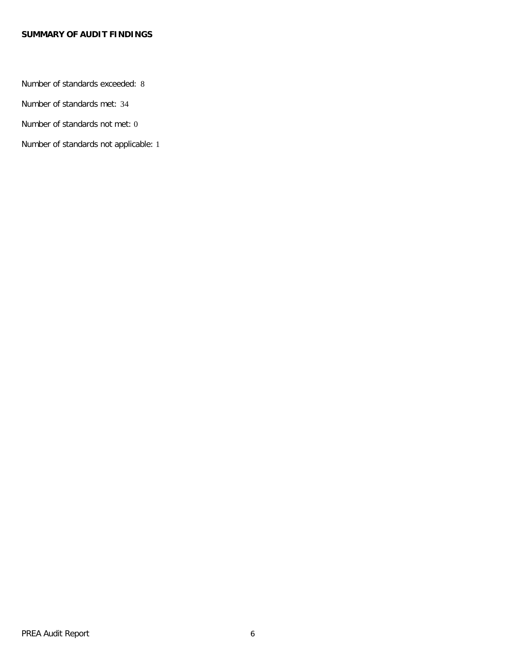### **SUMMARY OF AUDIT FINDINGS**

Number of standards exceeded: 8

Number of standards met: 34

Number of standards not met: 0

Number of standards not applicable: 1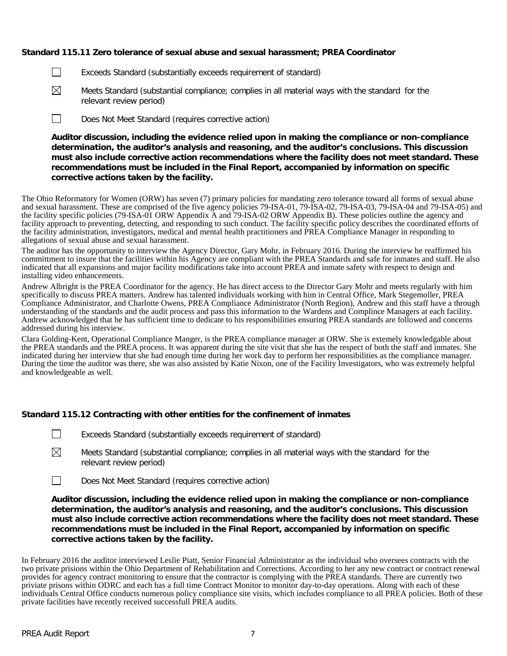### **Standard 115.11 Zero tolerance of sexual abuse and sexual harassment; PREA Coordinator**

- Exceeds Standard (substantially exceeds requirement of standard)  $\perp$
- $\boxtimes$ Meets Standard (substantial compliance; complies in all material ways with the standard for the relevant review period)
- $\Box$ Does Not Meet Standard (requires corrective action)

**Auditor discussion, including the evidence relied upon in making the compliance or non-compliance determination, the auditor's analysis and reasoning, and the auditor's conclusions. This discussion must also include corrective action recommendations where the facility does not meet standard. These recommendations must be included in the Final Report, accompanied by information on specific corrective actions taken by the facility.**

The Ohio Reformatory for Women (ORW) has seven (7) primary policies for mandating zero tolerance toward all forms of sexual abuse and sexual harassment. These are comprised of the five agency policies 79-ISA-01, 79-ISA-02, 79-ISA-03, 79-ISA-04 and 79-ISA-05) and the facility specific policies (79-ISA-01 ORW Appendix A and 79-ISA-02 ORW Appendix B). These policies outline the agency and facility approach to preventing, detecting, and responding to such conduct. The facility specific policy describes the coordinated efforts of the facility administration, investigators, medical and mental health practitioners and PREA Compliance Manager in responding to allegations of sexual abuse and sexual harassment.

The auditor has the opportunity to interview the Agency Director, Gary Mohr, in February 2016. During the interview he reaffirmed his committment to insure that the facilities within his Agency are compliant with the PREA Standards and safe for inmates and staff. He also indicated that all expansions and major facility modifications take into account PREA and inmate safety with respect to design and installing video enhancements.

Andrew Albright is the PREA Coordinator for the agency. He has direct access to the Director Gary Mohr and meets regularly with him specifically to discuss PREA matters. Andrew has talented individuals working with him in Central Office, Mark Stegemoller, PREA Compliance Administrator, and Charlotte Owens, PREA Compliance Administrator (North Region), Andrew and this staff have a through understanding of the standards and the audit process and pass this information to the Wardens and Complince Managers at each facility. Andrew acknowledged that he has sufficient time to dedicate to his responsibilities ensuring PREA standards are followed and concerns addressed during his interview.

Clara Golding-Kent, Operational Compliance Manger, is the PREA compliance manager at ORW. She is extemely knowledgable about the PREA standards and the PREA process. It was apparent during the site visit that she has the respect of both the staff and inmates. She indicated during her interview that she had enough time during her work day to perform her responsibilities as the compliance manager. During the time the auditor was there, she was also assisted by Katie Nixon, one of the Facility Investigators, who was extremely helpful and knowledgeable as well.

### **Standard 115.12 Contracting with other entities for the confinement of inmates**

Exceeds Standard (substantially exceeds requirement of standard)

- ⊠ Meets Standard (substantial compliance; complies in all material ways with the standard for the relevant review period)
- $\Box$ Does Not Meet Standard (requires corrective action)

**Auditor discussion, including the evidence relied upon in making the compliance or non-compliance determination, the auditor's analysis and reasoning, and the auditor's conclusions. This discussion must also include corrective action recommendations where the facility does not meet standard. These recommendations must be included in the Final Report, accompanied by information on specific corrective actions taken by the facility.**

In February 2016 the auditor interviewed Leslie Piatt, Senior Financial Administrator as the individual who oversees contracts with the two private prisions within the Ohio Department of Rehabilitation and Corrections. According to her any new contract or contract renewal provides for agency contract monitoring to ensure that the contractor is complying with the PREA standards. There are currently two priviate prisons within ODRC and each has a full time Contract Monitor to monitor day-to-day operations. Along with each of these individuals Central Office conducts numerous policy compliance site visits, which includes compliance to all PREA policies. Both of these private facilities have recently received successfull PREA audits.

 $\perp$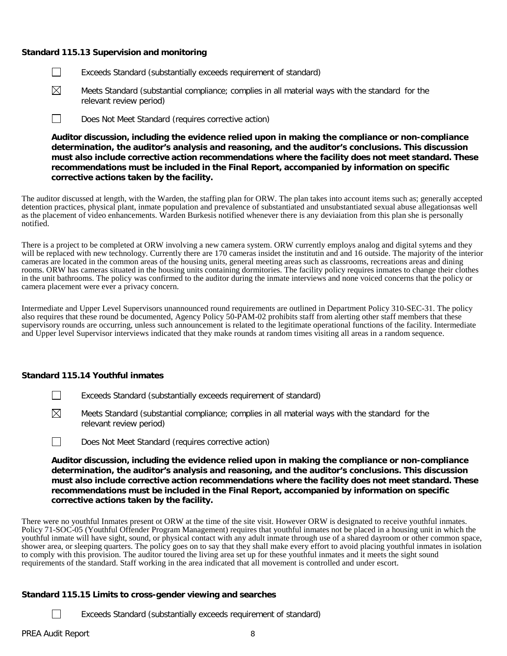### **Standard 115.13 Supervision and monitoring**

- Exceeds Standard (substantially exceeds requirement of standard)  $\perp$
- $\boxtimes$ Meets Standard (substantial compliance; complies in all material ways with the standard for the relevant review period)
- П Does Not Meet Standard (requires corrective action)

**Auditor discussion, including the evidence relied upon in making the compliance or non-compliance determination, the auditor's analysis and reasoning, and the auditor's conclusions. This discussion must also include corrective action recommendations where the facility does not meet standard. These recommendations must be included in the Final Report, accompanied by information on specific corrective actions taken by the facility.**

The auditor discussed at length, with the Warden, the staffing plan for ORW. The plan takes into account items such as; generally accepted detention practices, physical plant, inmate population and prevalence of substantiated and unsubstantiated sexual abuse allegationsas well as the placement of video enhancements. Warden Burkesis notified whenever there is any deviaiation from this plan she is personally notified.

There is a project to be completed at ORW involving a new camera system. ORW currently employs analog and digital sytems and they will be replaced with new technology. Currently there are 170 cameras insidet the institutin and and 16 outside. The majority of the interior cameras are located in the common areas of the housing units, general meeting areas such as classrooms, recreations areas and dining rooms. ORW has cameras situated in the housing units containing dormitories. The facility policy requires inmates to change their clothes in the unit bathrooms. The policy was confirmed to the auditor during the inmate interviews and none voiced concerns that the policy or camera placement were ever a privacy concern.

Intermediate and Upper Level Supervisors unannounced round requirements are outlined in Department Policy 310-SEC-31. The policy also requires that these round be documented, Agency Policy 50-PAM-02 prohibits staff from alerting other staff members that these supervisory rounds are occurring, unless such announcement is related to the legitimate operational functions of the facility. Intermediate and Upper level Supervisor interviews indicated that they make rounds at random times visiting all areas in a random sequence.

### **Standard 115.14 Youthful inmates**

- Exceeds Standard (substantially exceeds requirement of standard)
- ⊠ Meets Standard (substantial compliance; complies in all material ways with the standard for the relevant review period)
- П Does Not Meet Standard (requires corrective action)

**Auditor discussion, including the evidence relied upon in making the compliance or non-compliance determination, the auditor's analysis and reasoning, and the auditor's conclusions. This discussion must also include corrective action recommendations where the facility does not meet standard. These recommendations must be included in the Final Report, accompanied by information on specific corrective actions taken by the facility.**

There were no youthful Inmates present ot ORW at the time of the site visit. However ORW is designated to receive youthful inmates. Policy 71-SOC-05 (Youthful Offender Program Management) requires that youthful inmates not be placed in a housing unit in which the youthful inmate will have sight, sound, or physical contact with any adult inmate through use of a shared dayroom or other common space, shower area, or sleeping quarters. The policy goes on to say that they shall make every effort to avoid placing youthful inmates in isolation to comply with this provision. The auditor toured the living area set up for these youthful inmates and it meets the sight sound requirements of the standard. Staff working in the area indicated that all movement is controlled and under escort.

### **Standard 115.15 Limits to cross-gender viewing and searches**

Exceeds Standard (substantially exceeds requirement of standard)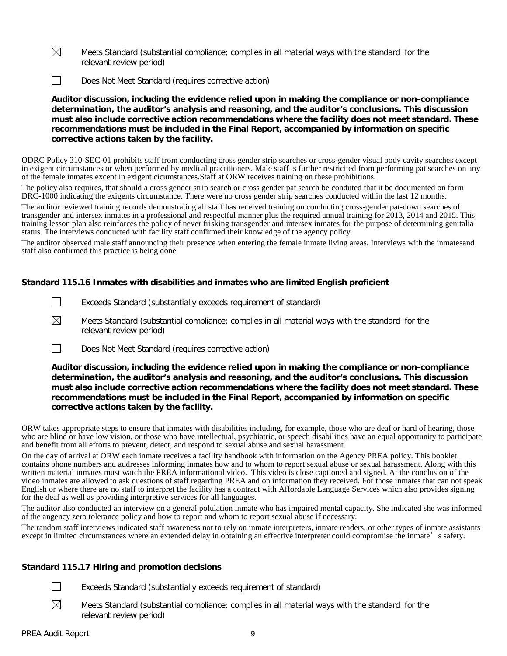$\boxtimes$ Meets Standard (substantial compliance; complies in all material ways with the standard for the relevant review period)

 $\Box$ Does Not Meet Standard (requires corrective action)

**Auditor discussion, including the evidence relied upon in making the compliance or non-compliance determination, the auditor's analysis and reasoning, and the auditor's conclusions. This discussion must also include corrective action recommendations where the facility does not meet standard. These recommendations must be included in the Final Report, accompanied by information on specific corrective actions taken by the facility.**

ODRC Policy 310-SEC-01 prohibits staff from conducting cross gender strip searches or cross-gender visual body cavity searches except in exigent circumstances or when performed by medical practitioners. Male staff is further restricited from performing pat searches on any of the female inmates except in exigent cicumstances.Staff at ORW receives training on these prohibitions.

The policy also requires, that should a cross gender strip search or cross gender pat search be conduted that it be documented on form DRC-1000 indicating the exigents circumstance. There were no cross gender strip searches conducted within the last 12 months.

The auditor reviewed training records demonstrating all staff has received training on conducting cross-gender pat-down searches of transgender and intersex inmates in a professional and respectful manner plus the required annual training for 2013, 2014 and 2015. This training lesson plan also reinforces the policy of never frisking transgender and intersex inmates for the purpose of determining genitalia status. The interviews conducted with facility staff confirmed their knowledge of the agency policy.

The auditor observed male staff announcing their presence when entering the female inmate living areas. Interviews with the inmatesand staff also confirmed this practice is being done.

### **Standard 115.16 Inmates with disabilities and inmates who are limited English proficient**

- $\perp$ Exceeds Standard (substantially exceeds requirement of standard)
- $\boxtimes$ Meets Standard (substantial compliance; complies in all material ways with the standard for the relevant review period)
- $\Box$ Does Not Meet Standard (requires corrective action)

**Auditor discussion, including the evidence relied upon in making the compliance or non-compliance determination, the auditor's analysis and reasoning, and the auditor's conclusions. This discussion must also include corrective action recommendations where the facility does not meet standard. These recommendations must be included in the Final Report, accompanied by information on specific corrective actions taken by the facility.**

ORW takes appropriate steps to ensure that inmates with disabilities including, for example, those who are deaf or hard of hearing, those who are blind or have low vision, or those who have intellectual, psychiatric, or speech disabilities have an equal opportunity to participate and benefit from all efforts to prevent, detect, and respond to sexual abuse and sexual harassment.

On the day of arrival at ORW each inmate receives a facility handbook with information on the Agency PREA policy. This booklet contains phone numbers and addresses informing inmates how and to whom to report sexual abuse or sexual harassment. Along with this written material inmates must watch the PREA informational video. This video is close captioned and signed. At the conclusion of the video inmates are allowed to ask questions of staff regarding PREA and on information they received. For those inmates that can not speak English or where there are no staff to interpret the facility has a contract with Affordable Language Services which also provides signing for the deaf as well as providing interpretive services for all languages.

The auditor also conducted an interview on a general polulation inmate who has impaired mental capacity. She indicated she was informed of the angency zero tolerance policy and how to report and whom to report sexual abuse if necessary.

The random staff interviews indicated staff awareness not to rely on inmate interpreters, inmate readers, or other types of inmate assistants except in limited circumstances where an extended delay in obtaining an effective interpreter could compromise the inmate's safety.

### **Standard 115.17 Hiring and promotion decisions**

- $\Box$ Exceeds Standard (substantially exceeds requirement of standard)
	- Meets Standard (substantial compliance; complies in all material ways with the standard for the
	- relevant review period)

 $\boxtimes$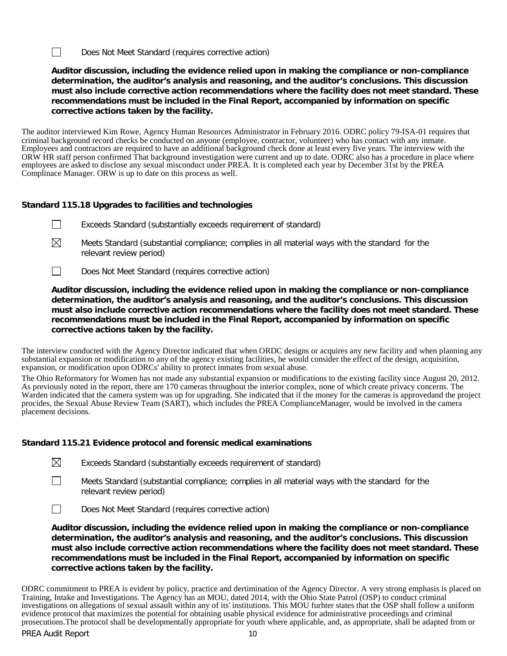$\Box$ Does Not Meet Standard (requires corrective action)

**Auditor discussion, including the evidence relied upon in making the compliance or non-compliance determination, the auditor's analysis and reasoning, and the auditor's conclusions. This discussion must also include corrective action recommendations where the facility does not meet standard. These recommendations must be included in the Final Report, accompanied by information on specific corrective actions taken by the facility.**

The auditor interviewed Kim Rowe, Agency Human Resources Administrator in February 2016. ODRC policy 79-ISA-01 requires that criminal background record checks be conducted on anyone (employee, contractor, volunteer) who has contact with any inmate. Employees and contractors are required to have an additional background check done at least every five years. The interview with the ORW HR staff person confirmed That background investigation were current and up to date. ODRC also has a procedure in place where employees are asked to disclose any sexual misconduct under PREA. It is completed each year by December 31st by the PREA Complinace Manager. ORW is up to date on this process as well.

### **Standard 115.18 Upgrades to facilities and technologies**

- $\perp$ Exceeds Standard (substantially exceeds requirement of standard)
- $\boxtimes$ Meets Standard (substantial compliance; complies in all material ways with the standard for the relevant review period)
- $\Box$ Does Not Meet Standard (requires corrective action)

**Auditor discussion, including the evidence relied upon in making the compliance or non-compliance determination, the auditor's analysis and reasoning, and the auditor's conclusions. This discussion must also include corrective action recommendations where the facility does not meet standard. These recommendations must be included in the Final Report, accompanied by information on specific corrective actions taken by the facility.**

The interview conducted with the Agency Director indicated that when ORDC designs or acquires any new facility and when planning any substantial expansion or modification to any of the agency existing facilities, he would consider the effect of the design, acquisition, expansion, or modification upon ODRCs' ability to protect inmates from sexual abuse.

The Ohio Reformatory for Women has not made any substantial expansion or modifications to the existing facility since August 20, 2012. As previously noted in the report, there are 170 cameras throughout the interior complex, none of which create privacy concerns. The Warden indicated that the camera system was up for upgrading. She indicated that if the money for the cameras is approvedand the project procides, the Sexual Abuse Review Team (SART), which includes the PREA ComplianceManager, would be involved in the camera placement decisions.

### **Standard 115.21 Evidence protocol and forensic medical examinations**

- $\boxtimes$ Exceeds Standard (substantially exceeds requirement of standard)
- $\perp$ Meets Standard (substantial compliance; complies in all material ways with the standard for the relevant review period)

 $\Box$ Does Not Meet Standard (requires corrective action)

**Auditor discussion, including the evidence relied upon in making the compliance or non-compliance determination, the auditor's analysis and reasoning, and the auditor's conclusions. This discussion must also include corrective action recommendations where the facility does not meet standard. These recommendations must be included in the Final Report, accompanied by information on specific corrective actions taken by the facility.**

PREA Audit Report 10 ODRC commitment to PREA is evident by policy, practice and dertimination of the Agency Director. A very strong emphasis is placed on Training, Intake and Investigations. The Agency has an MOU, dated 2014, with the Ohio State Patrol (OSP) to conduct criminal investigations on allegations of sexual assault within any of its' institutions. This MOU furhter states that the OSP shall follow a uniform evidence protocol that maximizes the potential for obtaining usable physical evidence for administrative proceedings and criminal prosecutions.The protocol shall be developmentally appropriate for youth where applicable, and, as appropriate, shall be adapted from or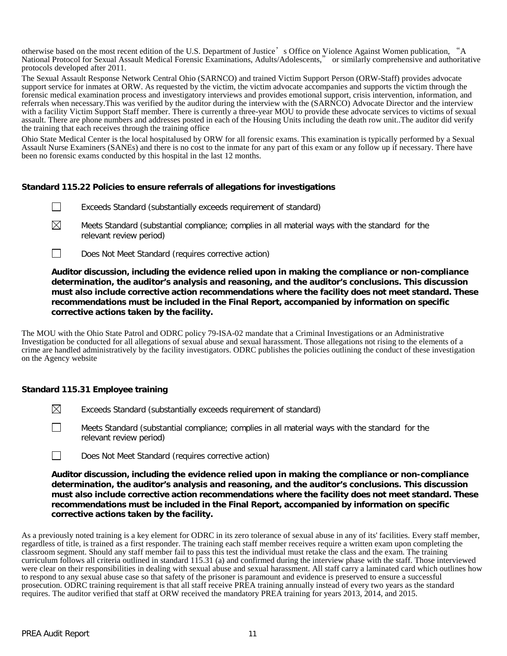otherwise based on the most recent edition of the U.S. Department of Justice's Office on Violence Against Women publication, "A National Protocol for Sexual Assault Medical Forensic Examinations, Adults/Adolescents," or similarly comprehensive and authoritative protocols developed after 2011.

The Sexual Assault Response Network Central Ohio (SARNCO) and trained Victim Support Person (ORW-Staff) provides advocate support service for inmates at ORW. As requested by the victim, the victim advocate accompanies and supports the victim through the forensic medical examination process and investigatory interviews and provides emotional support, crisis intervention, information, and referrals when necessary.This was verified by the auditor during the interview with the (SARNCO) Advocate Director and the interview with a facility Victim Support Staff member. There is currently a three-year MOU to provide these advocate services to victims of sexual assault. There are phone numbers and addresses posted in each of the Housing Units including the death row unit..The auditor did verify the training that each receives through the training office

Ohio State Medical Center is the local hospitalused by ORW for all forensic exams. This examination is typically performed by a Sexual Assault Nurse Examiners (SANEs) and there is no cost to the inmate for any part of this exam or any follow up if necessary. There have been no forensic exams conducted by this hospital in the last 12 months.

### **Standard 115.22 Policies to ensure referrals of allegations for investigations**

- $\perp$ Exceeds Standard (substantially exceeds requirement of standard)
- ⊠ Meets Standard (substantial compliance; complies in all material ways with the standard for the relevant review period)
- $\perp$ Does Not Meet Standard (requires corrective action)

**Auditor discussion, including the evidence relied upon in making the compliance or non-compliance determination, the auditor's analysis and reasoning, and the auditor's conclusions. This discussion must also include corrective action recommendations where the facility does not meet standard. These recommendations must be included in the Final Report, accompanied by information on specific corrective actions taken by the facility.**

The MOU with the Ohio State Patrol and ODRC policy 79-ISA-02 mandate that a Criminal Investigations or an Administrative Investigation be conducted for all allegations of sexual abuse and sexual harassment. Those allegations not rising to the elements of a crime are handled administratively by the facility investigators. ODRC publishes the policies outlining the conduct of these investigation on the Agency website

### **Standard 115.31 Employee training**

- $\boxtimes$ Exceeds Standard (substantially exceeds requirement of standard)
- П Meets Standard (substantial compliance; complies in all material ways with the standard for the relevant review period)
- $\Box$ Does Not Meet Standard (requires corrective action)

**Auditor discussion, including the evidence relied upon in making the compliance or non-compliance determination, the auditor's analysis and reasoning, and the auditor's conclusions. This discussion must also include corrective action recommendations where the facility does not meet standard. These recommendations must be included in the Final Report, accompanied by information on specific corrective actions taken by the facility.**

As a previously noted training is a key element for ODRC in its zero tolerance of sexual abuse in any of its' facilities. Every staff member, regardless of title, is trained as a first responder. The training each staff member receives require a written exam upon completing the classroom segment. Should any staff member fail to pass this test the individual must retake the class and the exam. The training curriculum follows all criteria outlined in standard 115.31 (a) and confirmed during the interview phase with the staff. Those interviewed were clear on their responsibilities in dealing with sexual abuse and sexual harassment. All staff carry a laminated card which outlines how to respond to any sexual abuse case so that safety of the prisoner is paramount and evidence is preserved to ensure a successful prosecution. ODRC training requirement is that all staff receive PREA training annually instead of every two years as the standard requires. The auditor verified that staff at ORW received the mandatory PREA training for years 2013, 2014, and 2015.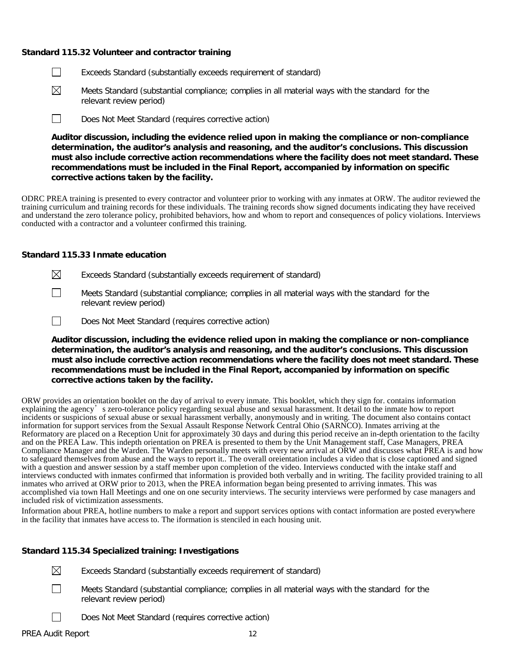### **Standard 115.32 Volunteer and contractor training**

- П Exceeds Standard (substantially exceeds requirement of standard)
- $\boxtimes$ Meets Standard (substantial compliance; complies in all material ways with the standard for the relevant review period)
- $\Box$ Does Not Meet Standard (requires corrective action)

**Auditor discussion, including the evidence relied upon in making the compliance or non-compliance determination, the auditor's analysis and reasoning, and the auditor's conclusions. This discussion must also include corrective action recommendations where the facility does not meet standard. These recommendations must be included in the Final Report, accompanied by information on specific corrective actions taken by the facility.**

ODRC PREA training is presented to every contractor and volunteer prior to working with any inmates at ORW. The auditor reviewed the training curriculum and training records for these individuals. The training records show signed documents indicating they have received and understand the zero tolerance policy, prohibited behaviors, how and whom to report and consequences of policy violations. Interviews conducted with a contractor and a volunteer confirmed this training.

### **Standard 115.33 Inmate education**

- $\boxtimes$ Exceeds Standard (substantially exceeds requirement of standard)
- $\Box$ Meets Standard (substantial compliance; complies in all material ways with the standard for the relevant review period)
- $\Box$ Does Not Meet Standard (requires corrective action)

**Auditor discussion, including the evidence relied upon in making the compliance or non-compliance determination, the auditor's analysis and reasoning, and the auditor's conclusions. This discussion must also include corrective action recommendations where the facility does not meet standard. These recommendations must be included in the Final Report, accompanied by information on specific corrective actions taken by the facility.**

ORW provides an orientation booklet on the day of arrival to every inmate. This booklet, which they sign for. contains information explaining the agency's zero-tolerance policy regarding sexual abuse and sexual harassment. It detail to the inmate how to report incidents or suspicions of sexual abuse or sexual harassment verbally, anonymously and in writing. The document also contains contact information for support services from the Sexual Assault Response Network Central Ohio (SARNCO). Inmates arriving at the Reformatory are placed on a Reception Unit for approximately 30 days and during this period receive an in-depth orientation to the facilty and on the PREA Law. This indepth orientation on PREA is presented to them by the Unit Management staff, Case Managers, PREA Compliance Manager and the Warden. The Warden personally meets with every new arrival at ORW and discusses what PREA is and how to safeguard themselves from abuse and the ways to report it.. The overall oreientation includes a video that is close captioned and signed with a question and answer session by a staff member upon completion of the video. Interviews conducted with the intake staff and interviews conducted with inmates confirmed that information is provided both verbally and in writing. The facility provided training to all inmates who arrived at ORW prior to 2013, when the PREA information began being presented to arriving inmates. This was accomplished via town Hall Meetings and one on one security interviews. The security interviews were performed by case managers and included risk of victimization assessments.

Information about PREA, hotline numbers to make a report and support services options with contact information are posted everywhere in the facility that inmates have access to. The iformation is stenciled in each housing unit.

### **Standard 115.34 Specialized training: Investigations**

 $\boxtimes$ 

- Exceeds Standard (substantially exceeds requirement of standard)
- П Meets Standard (substantial compliance; complies in all material ways with the standard for the relevant review period)
	- Does Not Meet Standard (requires corrective action)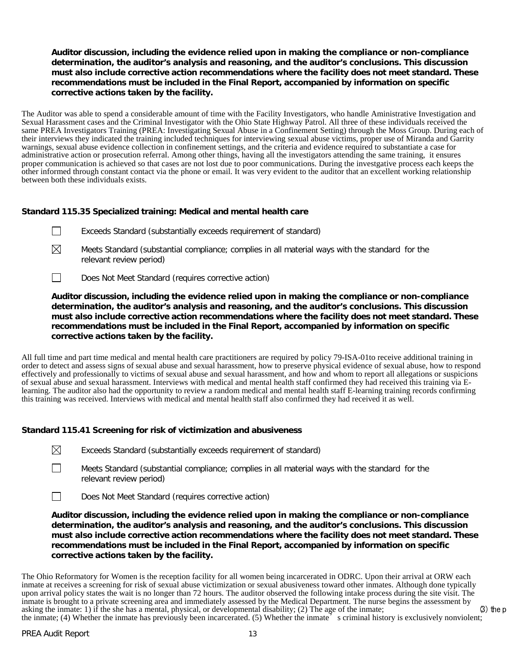### **Auditor discussion, including the evidence relied upon in making the compliance or non-compliance determination, the auditor's analysis and reasoning, and the auditor's conclusions. This discussion must also include corrective action recommendations where the facility does not meet standard. These recommendations must be included in the Final Report, accompanied by information on specific corrective actions taken by the facility.**

The Auditor was able to spend a considerable amount of time with the Facility Investigators, who handle Aministrative Investigation and Sexual Harassment cases and the Criminal Investigator with the Ohio State Highway Patrol. All three of these individuals received the same PREA Investigators Training (PREA: Investigating Sexual Abuse in a Confinement Setting) through the Moss Group. During each of their interviews they indicated the training included techniques for interviewing sexual abuse victims, proper use of Miranda and Garrity warnings, sexual abuse evidence collection in confinement settings, and the criteria and evidence required to substantiate a case for administrative action or prosecution referral. Among other things, having all the investigators attending the same training, it ensures proper communication is achieved so that cases are not lost due to poor communications. During the investgative process each keeps the other informed through constant contact via the phone or email. It was very evident to the auditor that an excellent working relationship between both these individuals exists.

### **Standard 115.35 Specialized training: Medical and mental health care**

- Exceeds Standard (substantially exceeds requirement of standard)  $\perp$
- $\boxtimes$ Meets Standard (substantial compliance; complies in all material ways with the standard for the relevant review period)
- $\Box$ Does Not Meet Standard (requires corrective action)

**Auditor discussion, including the evidence relied upon in making the compliance or non-compliance determination, the auditor's analysis and reasoning, and the auditor's conclusions. This discussion must also include corrective action recommendations where the facility does not meet standard. These recommendations must be included in the Final Report, accompanied by information on specific corrective actions taken by the facility.**

All full time and part time medical and mental health care practitioners are required by policy 79-ISA-01to receive additional training in order to detect and assess signs of sexual abuse and sexual harassment, how to preserve physical evidence of sexual abuse, how to respond effectively and professionally to victims of sexual abuse and sexual harassment, and how and whom to report all allegations or suspicions of sexual abuse and sexual harassment. Interviews with medical and mental health staff confirmed they had received this training via Elearning. The auditor also had the opportunity to review a random medical and mental health staff E-learning training records confirming this training was received. Interviews with medical and mental health staff also confirmed they had received it as well.

### **Standard 115.41 Screening for risk of victimization and abusiveness**

| $\boxtimes$ | Exceeds Standard (substantially exceeds requirement of standard) |  |  |  |  |
|-------------|------------------------------------------------------------------|--|--|--|--|
|-------------|------------------------------------------------------------------|--|--|--|--|

Meets Standard (substantial compliance; complies in all material ways with the standard for the relevant review period)

 $\Box$ Does Not Meet Standard (requires corrective action)

**Auditor discussion, including the evidence relied upon in making the compliance or non-compliance determination, the auditor's analysis and reasoning, and the auditor's conclusions. This discussion must also include corrective action recommendations where the facility does not meet standard. These recommendations must be included in the Final Report, accompanied by information on specific corrective actions taken by the facility.**

The Ohio Reformatory for Women is the reception facility for all women being incarcerated in ODRC. Upon their arrival at ORW each inmate at receives a screening for risk of sexual abuse victimization or sexual abusiveness toward other inmates. Although done typically upon arrival policy states the wait is no longer than 72 hours. The auditor observed the following intake process during the site visit. The inmate is brought to a private screening area and immediately assessed by the Medical Department. The nurse begins the assessment by asking the inmate: 1) if the she has a mental, physical, or developmental disability; (2) The age of the inmate; (3) the p the inmate; (4) Whether the inmate has previously been incarcerated. (5) Whether the inmate's criminal history is exclusively nonviolent;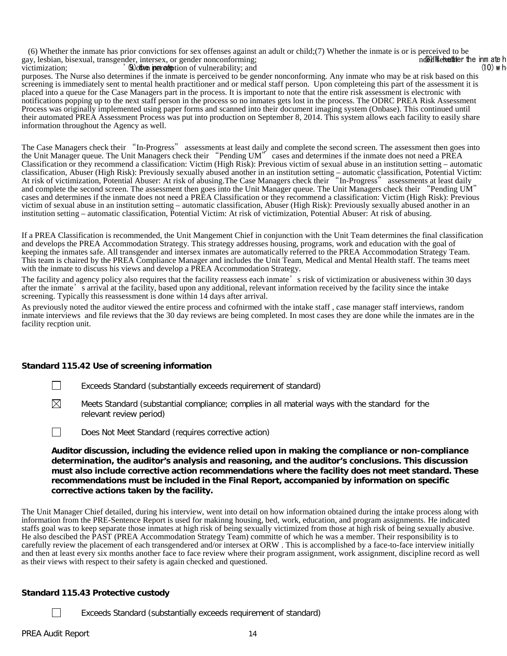(6) Whether the inmate has prior convictions for sex offenses against an adult or child;(7) Whether the inmate is or is perceived to be nay, lesbian, bisexual, transgender, intersex, or gender nonconforming; gay, lesbian, bisexual, transgender, intersex, or gender nonconforming; **notifying the inm ate hether the inm ate h**<br>victimization: (10) which is the inm ate heat the inm ate heat the inm ate heat the inm ate heat the inm  $\omega$  (9) other increase tion of vulnerability; and

purposes. The Nurse also determines if the inmate is perceived to be gender nonconforming. Any inmate who may be at risk based on this screening is immediately sent to mental health practitioner and or medical staff person. Upon completeing this part of the assessment it is placed into a queue for the Case Managers part in the process. It is important to note that the entire risk assessment is electronic with notifications popping up to the next staff person in the process so no inmates gets lost in the process. The ODRC PREA Risk Assessment Process was originally implemented using paper forms and scanned into their document imaging system (Onbase). This continued until their automated PREA Assessment Process was put into production on September 8, 2014. This system allows each facility to easily share information throughout the Agency as well.

The Case Managers check their "In-Progress" assessments at least daily and complete the second screen. The assessment then goes into the Unit Manager queue. The Unit Managers check their "Pending UM" cases and determines if the inmate does not need a PREA Classification or they recommend a classification: Victim (High Risk): Previous victim of sexual abuse in an institution setting – automatic classification, Abuser (High Risk): Previously sexually abused another in an institution setting – automatic classification, Potential Victim: At risk of victimization, Potential Abuser: At risk of abusing.The Case Managers check their "In-Progress" assessments at least daily and complete the second screen. The assessment then goes into the Unit Manager queue. The Unit Managers check their "Pending UM" cases and determines if the inmate does not need a PREA Classification or they recommend a classification: Victim (High Risk): Previous victim of sexual abuse in an institution setting – automatic classification, Abuser (High Risk): Previously sexually abused another in an institution setting – automatic classification, Potential Victim: At risk of victimization, Potential Abuser: At risk of abusing.

If a PREA Classification is recommended, the Unit Mangement Chief in conjunction with the Unit Team determines the final classification and develops the PREA Accommodation Strategy. This strategy addresses housing, programs, work and education with the goal of keeping the inmates safe. All transgender and intersex inmates are automatically referred to the PREA Accommodation Strategy Team. This team is chaired by the PREA Compliance Manager and includes the Unit Team, Medical and Mental Health staff. The teams meet with the inmate to discuss his views and develop a PREA Accommodation Strategy.

The facility and agency policy also requires that the facility reassess each inmate's risk of victimization or abusiveness within 30 days after the inmate's arrival at the facility, based upon any additional, relevant information received by the facility since the intake screening. Typically this reassessment is done within 14 days after arrival.

As previously noted the auditor viewed the entire process and cofnirmed with the intake staff , case manager staff interviews, random inmate interviews and file reviews that the 30 day reviews are being completed. In most cases they are done while the inmates are in the facility recption unit.

### **Standard 115.42 Use of screening information**

 $\Box$ Exceeds Standard (substantially exceeds requirement of standard)

⊠ Meets Standard (substantial compliance; complies in all material ways with the standard for the relevant review period)

П Does Not Meet Standard (requires corrective action)

**Auditor discussion, including the evidence relied upon in making the compliance or non-compliance determination, the auditor's analysis and reasoning, and the auditor's conclusions. This discussion must also include corrective action recommendations where the facility does not meet standard. These recommendations must be included in the Final Report, accompanied by information on specific corrective actions taken by the facility.**

The Unit Manager Chief detailed, during his interview, went into detail on how information obtained during the intake process along with information from the PRE-Sentence Report is used for makinng housing, bed, work, education, and program assignments. He indicated staffs goal was to keep separate those inmates at high risk of being sexually victimized from those at high risk of being sexually abusive. He also descibed the PAST (PREA Accommodation Strategy Team) committe of which he was a member. Their responsibility is to carefully review the placement of each transgendered and/or intersex at ORW . This is accomplished by a face-to-face interview initially and then at least every six months another face to face review where their program assignment, work assignment, discipline record as well as their views with respect to their safety is again checked and questioned.

### **Standard 115.43 Protective custody**

Exceeds Standard (substantially exceeds requirement of standard)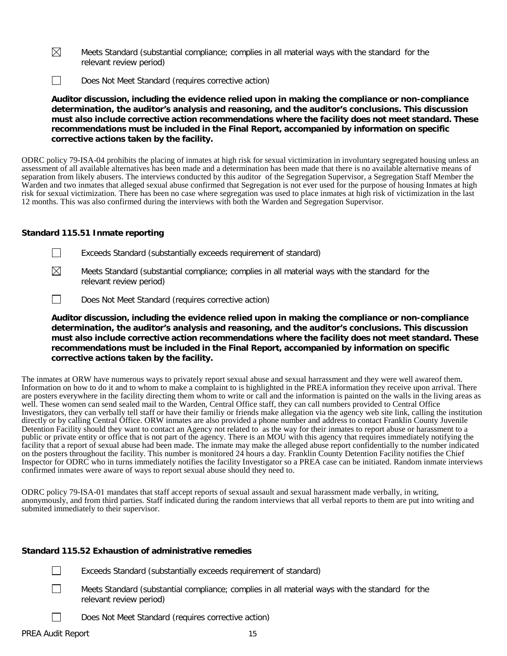- $\boxtimes$ Meets Standard (substantial compliance; complies in all material ways with the standard for the relevant review period)
- $\Box$ Does Not Meet Standard (requires corrective action)

**Auditor discussion, including the evidence relied upon in making the compliance or non-compliance determination, the auditor's analysis and reasoning, and the auditor's conclusions. This discussion must also include corrective action recommendations where the facility does not meet standard. These recommendations must be included in the Final Report, accompanied by information on specific corrective actions taken by the facility.**

ODRC policy 79-ISA-04 prohibits the placing of inmates at high risk for sexual victimization in involuntary segregated housing unless an assessment of all available alternatives has been made and a determination has been made that there is no available alternative means of separation from likely abusers. The interviews conducted by this auditor of the Segregation Supervisor, a Segregation Staff Member the Warden and two inmates that alleged sexual abuse confirmed that Segregation is not ever used for the purpose of housing Inmates at high risk for sexual victimization. There has been no case where segregation was used to place inmates at high risk of victimization in the last 12 months. This was also confirmed during the interviews with both the Warden and Segregation Supervisor.

### **Standard 115.51 Inmate reporting**

- $\Box$ Exceeds Standard (substantially exceeds requirement of standard)
- ⊠ Meets Standard (substantial compliance; complies in all material ways with the standard for the relevant review period)
- $\Box$ Does Not Meet Standard (requires corrective action)

**Auditor discussion, including the evidence relied upon in making the compliance or non-compliance determination, the auditor's analysis and reasoning, and the auditor's conclusions. This discussion must also include corrective action recommendations where the facility does not meet standard. These recommendations must be included in the Final Report, accompanied by information on specific corrective actions taken by the facility.**

The inmates at ORW have numerous ways to privately report sexual abuse and sexual harrassment and they were well awareof them. Information on how to do it and to whom to make a complaint to is highlighted in the PREA information they receive upon arrival. There are posters everywhere in the facility directing them whom to write or call and the information is painted on the walls in the living areas as well. These women can send sealed mail to the Warden, Central Office staff, they can call numbers provided to Central Office Investigators, they can verbally tell staff or have their familiy or friends make allegation via the agency web site link, calling the institution directly or by calling Central Office. ORW inmates are also provided a phone number and address to contact Franklin County Juvenile Detention Facility should they want to contact an Agency not related to as the way for their inmates to report abuse or harassment to a public or private entity or office that is not part of the agency. There is an MOU with this agency that requires immediately notifying the facility that a report of sexual abuse had been made. The inmate may make the alleged abuse report confidentially to the number indicated on the posters throughout the facility. This number is monitored 24 hours a day. Franklin County Detention Facility notifies the Chief Inspector for ODRC who in turns immediately notifies the facility Investigator so a PREA case can be initiated. Random inmate interviews confirmed inmates were aware of ways to report sexual abuse should they need to.

ODRC policy 79-ISA-01 mandates that staff accept reports of sexual assault and sexual harassment made verbally, in writing, anonymously, and from third parties. Staff indicated during the random interviews that all verbal reports to them are put into writing and submited immediately to their supervisor.

### **Standard 115.52 Exhaustion of administrative remedies**

- Exceeds Standard (substantially exceeds requirement of standard)
- $\Box$
- Meets Standard (substantial compliance; complies in all material ways with the standard for the relevant review period)
- Does Not Meet Standard (requires corrective action)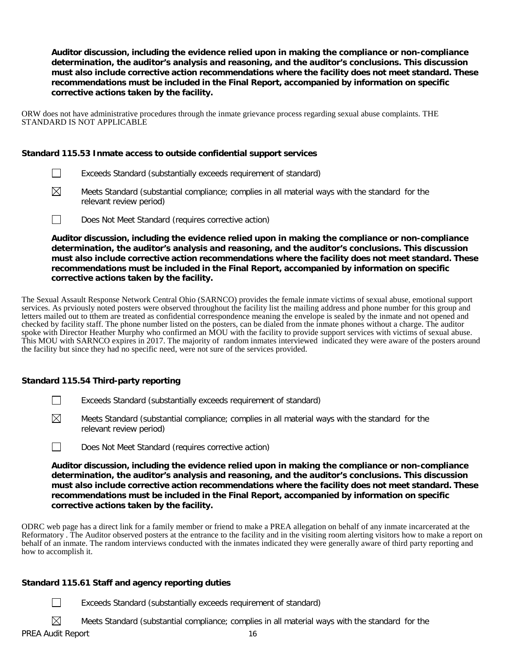**Auditor discussion, including the evidence relied upon in making the compliance or non-compliance determination, the auditor's analysis and reasoning, and the auditor's conclusions. This discussion must also include corrective action recommendations where the facility does not meet standard. These recommendations must be included in the Final Report, accompanied by information on specific corrective actions taken by the facility.**

ORW does not have administrative procedures through the inmate grievance process regarding sexual abuse complaints. THE STANDARD IS NOT APPLICABLE

### **Standard 115.53 Inmate access to outside confidential support services**

- $\Box$ Exceeds Standard (substantially exceeds requirement of standard)
- $\boxtimes$ Meets Standard (substantial compliance; complies in all material ways with the standard for the relevant review period)
- $\Box$ Does Not Meet Standard (requires corrective action)

**Auditor discussion, including the evidence relied upon in making the compliance or non-compliance determination, the auditor's analysis and reasoning, and the auditor's conclusions. This discussion must also include corrective action recommendations where the facility does not meet standard. These recommendations must be included in the Final Report, accompanied by information on specific corrective actions taken by the facility.**

The Sexual Assault Response Network Central Ohio (SARNCO) provides the female inmate victims of sexual abuse, emotional support services. As prviously noted posters were observed throughout the facility list the mailing address and phone number for this group and letters mailed out to them are treated as confidential correspondence meaning the envelope is sealed by the inmate and not opened and checked by facility staff. The phone number listed on the posters, can be dialed from the inmate phones without a charge. The auditor spoke with Director Heather Murphy who confirmed an MOU with the facility to provide support services with victims of sexual abuse. This MOU with SARNCO expires in 2017. The majority of random inmates interviewed indicated they were aware of the posters around the facility but since they had no specific need, were not sure of the services provided.

### **Standard 115.54 Third-party reporting**

- $\Box$ Exceeds Standard (substantially exceeds requirement of standard)
- $\boxtimes$ Meets Standard (substantial compliance; complies in all material ways with the standard for the relevant review period)
- $\Box$ Does Not Meet Standard (requires corrective action)

**Auditor discussion, including the evidence relied upon in making the compliance or non-compliance determination, the auditor's analysis and reasoning, and the auditor's conclusions. This discussion must also include corrective action recommendations where the facility does not meet standard. These recommendations must be included in the Final Report, accompanied by information on specific corrective actions taken by the facility.**

ODRC web page has a direct link for a family member or friend to make a PREA allegation on behalf of any inmate incarcerated at the Reformatory . The Auditor observed posters at the entrance to the facility and in the visiting room alerting visitors how to make a report on behalf of an inmate. The random interviews conducted with the inmates indicated they were generally aware of third party reporting and how to accomplish it.

### **Standard 115.61 Staff and agency reporting duties**

 $\Box$ Exceeds Standard (substantially exceeds requirement of standard)

Meets Standard (substantial compliance; complies in all material ways with the standard for the

 $\boxtimes$ PREA Audit Report 16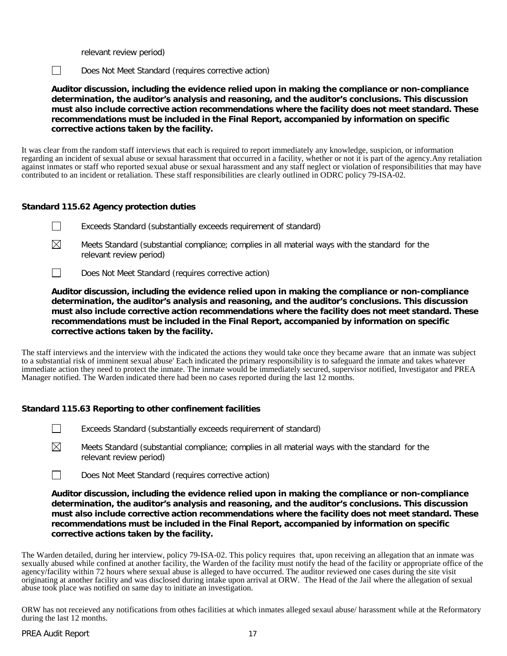relevant review period)

 $\Box$ 

Does Not Meet Standard (requires corrective action)

**Auditor discussion, including the evidence relied upon in making the compliance or non-compliance determination, the auditor's analysis and reasoning, and the auditor's conclusions. This discussion must also include corrective action recommendations where the facility does not meet standard. These recommendations must be included in the Final Report, accompanied by information on specific corrective actions taken by the facility.**

It was clear from the random staff interviews that each is required to report immediately any knowledge, suspicion, or information regarding an incident of sexual abuse or sexual harassment that occurred in a facility, whether or not it is part of the agency.Any retaliation against inmates or staff who reported sexual abuse or sexual harassment and any staff neglect or violation of responsibilities that may have contributed to an incident or retaliation. These staff responsibilities are clearly outlined in ODRC policy 79-ISA-02.

### **Standard 115.62 Agency protection duties**

- $\perp$ Exceeds Standard (substantially exceeds requirement of standard)
- ⊠ Meets Standard (substantial compliance; complies in all material ways with the standard for the relevant review period)
- Does Not Meet Standard (requires corrective action)  $\mathbf{1}$

**Auditor discussion, including the evidence relied upon in making the compliance or non-compliance determination, the auditor's analysis and reasoning, and the auditor's conclusions. This discussion must also include corrective action recommendations where the facility does not meet standard. These recommendations must be included in the Final Report, accompanied by information on specific corrective actions taken by the facility.**

The staff interviews and the interview with the indicated the actions they would take once they became aware that an inmate was subject to a substantial risk of imminent sexual abuse' Each indicated the primary responsibility is to safeguard the inmate and takes whatever immediate action they need to protect the inmate. The inmate would be immediately secured, supervisor notified, Investigator and PREA Manager notified. The Warden indicated there had been no cases reported during the last 12 months.

### **Standard 115.63 Reporting to other confinement facilities**

- Exceeds Standard (substantially exceeds requirement of standard)
- $\boxtimes$ Meets Standard (substantial compliance; complies in all material ways with the standard for the relevant review period)
- $\Box$ Does Not Meet Standard (requires corrective action)

**Auditor discussion, including the evidence relied upon in making the compliance or non-compliance determination, the auditor's analysis and reasoning, and the auditor's conclusions. This discussion must also include corrective action recommendations where the facility does not meet standard. These recommendations must be included in the Final Report, accompanied by information on specific corrective actions taken by the facility.**

The Warden detailed, during her interview, policy 79-ISA-02. This policy requires that, upon receiving an allegation that an inmate was sexually abused while confined at another facility, the Warden of the facility must notify the head of the facility or appropriate office of the agency/facility within 72 hours where sexual abuse is alleged to have occurred. The auditor reviewed one cases during the site visit originating at another facility and was disclosed during intake upon arrival at ORW. The Head of the Jail where the allegation of sexual abuse took place was notified on same day to initiate an investigation.

ORW has not receieved any notifications from othes facilities at which inmates alleged sexaul abuse/ harassment while at the Reformatory during the last 12 months.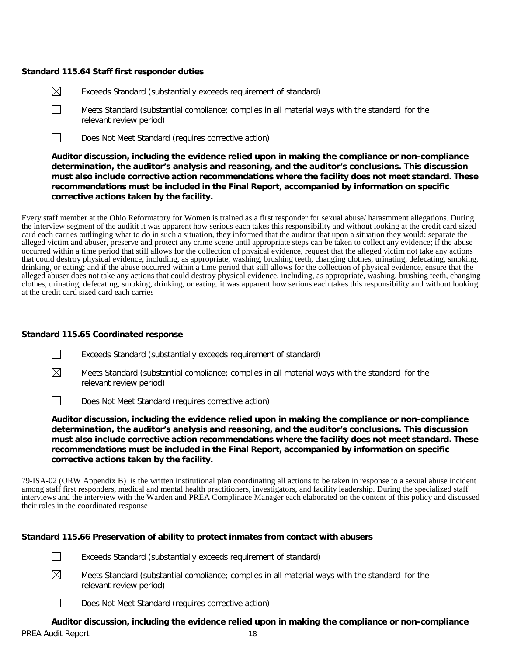### **Standard 115.64 Staff first responder duties**

- $\boxtimes$ Exceeds Standard (substantially exceeds requirement of standard)
- $\Box$ Meets Standard (substantial compliance; complies in all material ways with the standard for the relevant review period)
- $\Box$ Does Not Meet Standard (requires corrective action)

**Auditor discussion, including the evidence relied upon in making the compliance or non-compliance determination, the auditor's analysis and reasoning, and the auditor's conclusions. This discussion must also include corrective action recommendations where the facility does not meet standard. These recommendations must be included in the Final Report, accompanied by information on specific corrective actions taken by the facility.**

Every staff member at the Ohio Reformatory for Women is trained as a first responder for sexual abuse/ harasmment allegations. During the interview segment of the auditit it was apparent how serious each takes this responsibility and without looking at the credit card sized card each carries outlinging what to do in such a situation, they informed that the auditor that upon a situation they would: separate the alleged victim and abuser, preserve and protect any crime scene until appropriate steps can be taken to collect any evidence; if the abuse occurred within a time period that still allows for the collection of physical evidence, request that the alleged victim not take any actions that could destroy physical evidence, including, as appropriate, washing, brushing teeth, changing clothes, urinating, defecating, smoking, drinking, or eating; and if the abuse occurred within a time period that still allows for the collection of physical evidence, ensure that the alleged abuser does not take any actions that could destroy physical evidence, including, as appropriate, washing, brushing teeth, changing clothes, urinating, defecating, smoking, drinking, or eating. it was apparent how serious each takes this responsibility and without looking at the credit card sized card each carries

### **Standard 115.65 Coordinated response**

- П Exceeds Standard (substantially exceeds requirement of standard)
- $\boxtimes$ Meets Standard (substantial compliance; complies in all material ways with the standard for the relevant review period)
- $\Box$ Does Not Meet Standard (requires corrective action)

**Auditor discussion, including the evidence relied upon in making the compliance or non-compliance determination, the auditor's analysis and reasoning, and the auditor's conclusions. This discussion must also include corrective action recommendations where the facility does not meet standard. These recommendations must be included in the Final Report, accompanied by information on specific corrective actions taken by the facility.**

79-ISA-02 (ORW Appendix B) is the written institutional plan coordinating all actions to be taken in response to a sexual abuse incident among staff first responders, medical and mental health practitioners, investigators, and facility leadership. During the specialized staff interviews and the interview with the Warden and PREA Complinace Manager each elaborated on the content of this policy and discussed their roles in the coordinated response

### **Standard 115.66 Preservation of ability to protect inmates from contact with abusers**

- $\Box$ Exceeds Standard (substantially exceeds requirement of standard)
- $\boxtimes$ Meets Standard (substantial compliance; complies in all material ways with the standard for the relevant review period)
- $\perp$ Does Not Meet Standard (requires corrective action)

PREA Audit Report 18 **Auditor discussion, including the evidence relied upon in making the compliance or non-compliance**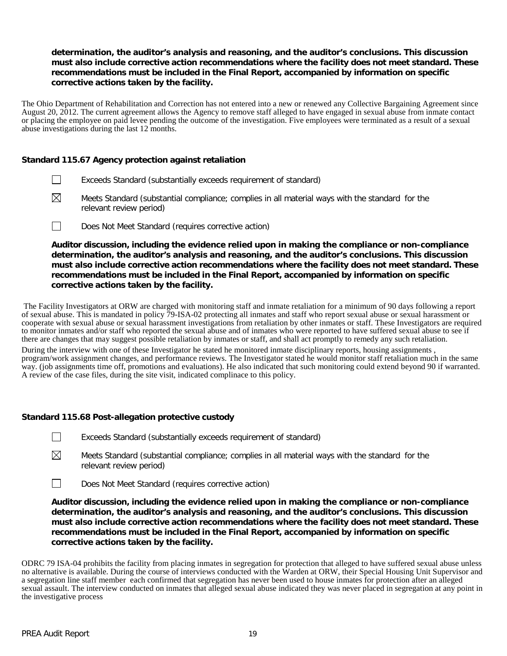### **determination, the auditor's analysis and reasoning, and the auditor's conclusions. This discussion must also include corrective action recommendations where the facility does not meet standard. These recommendations must be included in the Final Report, accompanied by information on specific corrective actions taken by the facility.**

The Ohio Department of Rehabilitation and Correction has not entered into a new or renewed any Collective Bargaining Agreement since August 20, 2012. The current agreement allows the Agency to remove staff alleged to have engaged in sexual abuse from inmate contact or placing the employee on paid levee pending the outcome of the investigation. Five employees were terminated as a result of a sexual abuse investigations during the last 12 months.

### **Standard 115.67 Agency protection against retaliation**

- $\mathbb{R}^n$ Exceeds Standard (substantially exceeds requirement of standard)
- $\boxtimes$ Meets Standard (substantial compliance; complies in all material ways with the standard for the relevant review period)
- $\Box$ Does Not Meet Standard (requires corrective action)

**Auditor discussion, including the evidence relied upon in making the compliance or non-compliance determination, the auditor's analysis and reasoning, and the auditor's conclusions. This discussion must also include corrective action recommendations where the facility does not meet standard. These recommendations must be included in the Final Report, accompanied by information on specific corrective actions taken by the facility.**

The Facility Investigators at ORW are charged with monitoring staff and inmate retaliation for a minimum of 90 days following a report of sexual abuse. This is mandated in policy 79-ISA-02 protecting all inmates and staff who report sexual abuse or sexual harassment or cooperate with sexual abuse or sexual harassment investigations from retaliation by other inmates or staff. These Investigators are required to monitor inmates and/or staff who reported the sexual abuse and of inmates who were reported to have suffered sexual abuse to see if there are changes that may suggest possible retaliation by inmates or staff, and shall act promptly to remedy any such retaliation.

During the interview with one of these Investigator he stated he monitored inmate disciplinary reports, housing assignments , program/work assignment changes, and performance reviews. The Investigator stated he would monitor staff retaliation much in the same way. (job assignments time off, promotions and evaluations). He also indicated that such monitoring could extend beyond 90 if warranted. A review of the case files, during the site visit, indicated complinace to this policy.

### **Standard 115.68 Post-allegation protective custody**

- $\Box$ Exceeds Standard (substantially exceeds requirement of standard)
- $\boxtimes$ Meets Standard (substantial compliance; complies in all material ways with the standard for the relevant review period)
- $\Box$ Does Not Meet Standard (requires corrective action)

**Auditor discussion, including the evidence relied upon in making the compliance or non-compliance determination, the auditor's analysis and reasoning, and the auditor's conclusions. This discussion must also include corrective action recommendations where the facility does not meet standard. These recommendations must be included in the Final Report, accompanied by information on specific corrective actions taken by the facility.**

ODRC 79 ISA-04 prohibits the facility from placing inmates in segregation for protection that alleged to have suffered sexual abuse unless no alternative is available. During the course of interviews conducted with the Warden at ORW, their Special Housing Unit Supervisor and a segregation line staff member each confirmed that segregation has never been used to house inmates for protection after an alleged sexual assault. The interview conducted on inmates that alleged sexual abuse indicated they was never placed in segregation at any point in the investigative process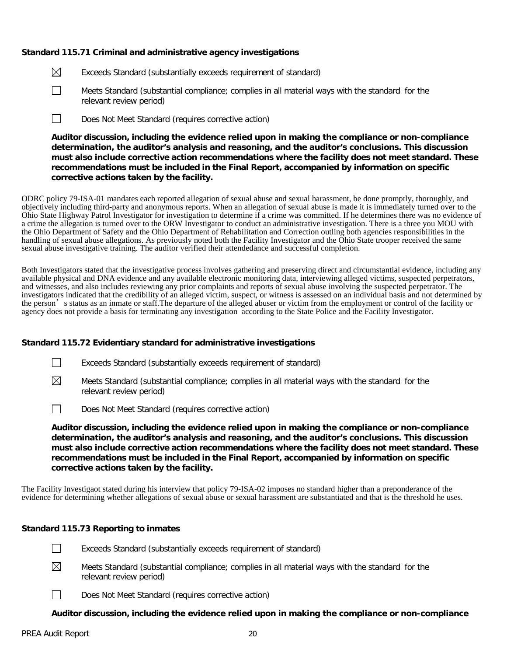### **Standard 115.71 Criminal and administrative agency investigations**

- $\boxtimes$ Exceeds Standard (substantially exceeds requirement of standard)
- $\Box$ Meets Standard (substantial compliance; complies in all material ways with the standard for the relevant review period)
- $\Box$ Does Not Meet Standard (requires corrective action)

**Auditor discussion, including the evidence relied upon in making the compliance or non-compliance determination, the auditor's analysis and reasoning, and the auditor's conclusions. This discussion must also include corrective action recommendations where the facility does not meet standard. These recommendations must be included in the Final Report, accompanied by information on specific corrective actions taken by the facility.**

ODRC policy 79-ISA-01 mandates each reported allegation of sexual abuse and sexual harassment, be done promptly, thoroughly, and objectively including third-party and anonymous reports. When an allegation of sexual abuse is made it is immediately turned over to the Ohio State Highway Patrol Investigator for investigation to determine if a crime was committed. If he determines there was no evidence of a crime the allegation is turned over to the ORW Investigator to conduct an administrative investigation. There is a three you MOU with the Ohio Department of Safety and the Ohio Department of Rehabilitation and Correction outling both agencies responsibilities in the handling of sexual abuse allegations. As previously noted both the Facility Investigator and the Ohio State trooper received the same sexual abuse investigative training. The auditor verified their attendedance and successful completion.

Both Investigators stated that the investigative process involves gathering and preserving direct and circumstantial evidence, including any available physical and DNA evidence and any available electronic monitoring data, interviewing alleged victims, suspected perpetrators, and witnesses, and also includes reviewing any prior complaints and reports of sexual abuse involving the suspected perpetrator. The investigators indicated that the credibility of an alleged victim, suspect, or witness is assessed on an individual basis and not determined by the person's status as an inmate or staff.The departure of the alleged abuser or victim from the employment or control of the facility or agency does not provide a basis for terminating any investigation according to the State Police and the Facility Investigator.

### **Standard 115.72 Evidentiary standard for administrative investigations**

- Exceeds Standard (substantially exceeds requirement of standard)
- $\boxtimes$ Meets Standard (substantial compliance; complies in all material ways with the standard for the relevant review period)
- $\Box$ Does Not Meet Standard (requires corrective action)

**Auditor discussion, including the evidence relied upon in making the compliance or non-compliance determination, the auditor's analysis and reasoning, and the auditor's conclusions. This discussion must also include corrective action recommendations where the facility does not meet standard. These recommendations must be included in the Final Report, accompanied by information on specific corrective actions taken by the facility.**

The Facility Investigaot stated during his interview that policy 79-ISA-02 imposes no standard higher than a preponderance of the evidence for determining whether allegations of sexual abuse or sexual harassment are substantiated and that is the threshold he uses.

### **Standard 115.73 Reporting to inmates**

- $\perp$ Exceeds Standard (substantially exceeds requirement of standard)
- $\boxtimes$ Meets Standard (substantial compliance; complies in all material ways with the standard for the relevant review period)
	- Does Not Meet Standard (requires corrective action)

### **Auditor discussion, including the evidence relied upon in making the compliance or non-compliance**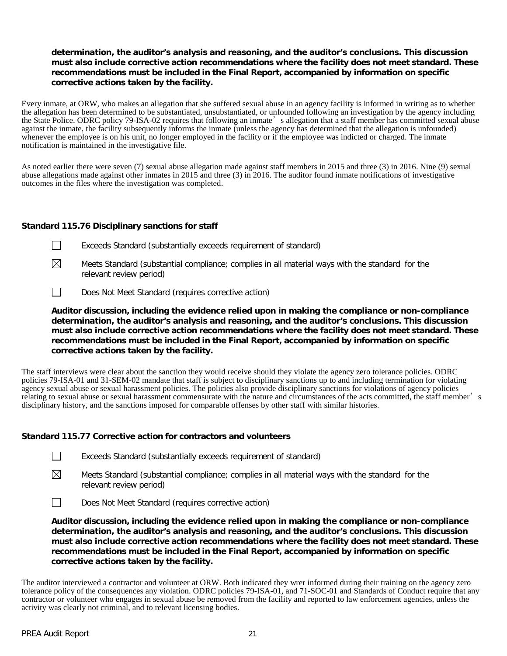### **determination, the auditor's analysis and reasoning, and the auditor's conclusions. This discussion must also include corrective action recommendations where the facility does not meet standard. These recommendations must be included in the Final Report, accompanied by information on specific corrective actions taken by the facility.**

Every inmate, at ORW, who makes an allegation that she suffered sexual abuse in an agency facility is informed in writing as to whether the allegation has been determined to be substantiated, unsubstantiated, or unfounded following an investigation by the agency including the State Police. ODRC policy 79-ISA-02 requires that following an inmate's allegation that a staff member has committed sexual abuse against the inmate, the facility subsequently informs the inmate (unless the agency has determined that the allegation is unfounded) whenever the employee is on his unit, no longer employed in the facility or if the employee was indicted or charged. The inmate notification is maintained in the investigative file.

As noted earlier there were seven (7) sexual abuse allegation made against staff members in 2015 and three (3) in 2016. Nine (9) sexual abuse allegations made against other inmates in 2015 and three (3) in 2016. The auditor found inmate notifications of investigative outcomes in the files where the investigation was completed.

### **Standard 115.76 Disciplinary sanctions for staff**

- $\Box$ Exceeds Standard (substantially exceeds requirement of standard)
- $\boxtimes$ Meets Standard (substantial compliance; complies in all material ways with the standard for the relevant review period)
- $\Box$ Does Not Meet Standard (requires corrective action)

**Auditor discussion, including the evidence relied upon in making the compliance or non-compliance determination, the auditor's analysis and reasoning, and the auditor's conclusions. This discussion must also include corrective action recommendations where the facility does not meet standard. These recommendations must be included in the Final Report, accompanied by information on specific corrective actions taken by the facility.**

The staff interviews were clear about the sanction they would receive should they violate the agency zero tolerance policies. ODRC policies 79-ISA-01 and 31-SEM-02 mandate that staff is subject to disciplinary sanctions up to and including termination for violating agency sexual abuse or sexual harassment policies. The policies also provide disciplinary sanctions for violations of agency policies relating to sexual abuse or sexual harassment commensurate with the nature and circumstances of the acts committed, the staff member's disciplinary history, and the sanctions imposed for comparable offenses by other staff with similar histories.

### **Standard 115.77 Corrective action for contractors and volunteers**

- $\boxtimes$ Meets Standard (substantial compliance; complies in all material ways with the standard for the relevant review period)
- Does Not Meet Standard (requires corrective action)  $\perp$

**Auditor discussion, including the evidence relied upon in making the compliance or non-compliance determination, the auditor's analysis and reasoning, and the auditor's conclusions. This discussion must also include corrective action recommendations where the facility does not meet standard. These recommendations must be included in the Final Report, accompanied by information on specific corrective actions taken by the facility.**

The auditor interviewed a contractor and volunteer at ORW. Both indicated they wrer informed during their training on the agency zero tolerance policy of the consequences any violation. ODRC policies 79-ISA-01, and 71-SOC-01 and Standards of Conduct require that any contractor or volunteer who engages in sexual abuse be removed from the facility and reported to law enforcement agencies, unless the activity was clearly not criminal, and to relevant licensing bodies.

 $\perp$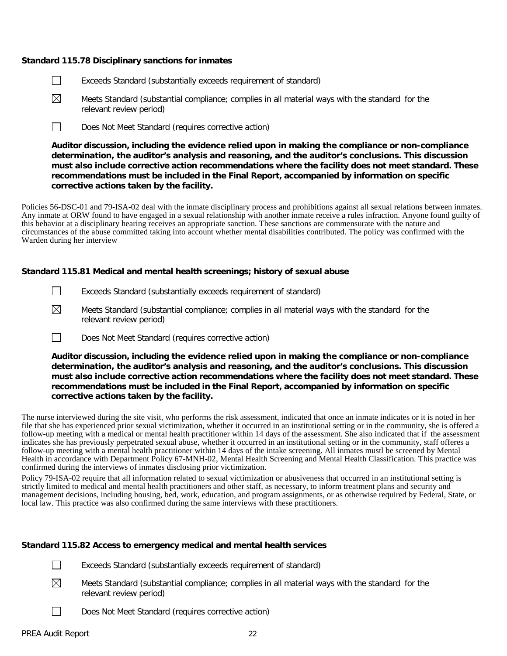#### **Standard 115.78 Disciplinary sanctions for inmates**

- $\Box$ Exceeds Standard (substantially exceeds requirement of standard)
- ⊠ Meets Standard (substantial compliance; complies in all material ways with the standard for the relevant review period)
- $\Box$ Does Not Meet Standard (requires corrective action)

**Auditor discussion, including the evidence relied upon in making the compliance or non-compliance determination, the auditor's analysis and reasoning, and the auditor's conclusions. This discussion must also include corrective action recommendations where the facility does not meet standard. These recommendations must be included in the Final Report, accompanied by information on specific corrective actions taken by the facility.**

Policies 56-DSC-01 and 79-ISA-02 deal with the inmate disciplinary process and prohibitions against all sexual relations between inmates. Any inmate at ORW found to have engaged in a sexual relationship with another inmate receive a rules infraction. Anyone found guilty of this behavior at a disciplinary hearing receives an appropriate sanction. These sanctions are commensurate with the nature and circumstances of the abuse committed taking into account whether mental disabilities contributed. The policy was confirmed with the Warden during her interview

#### **Standard 115.81 Medical and mental health screenings; history of sexual abuse**

- $\Box$ Exceeds Standard (substantially exceeds requirement of standard)
- $\boxtimes$ Meets Standard (substantial compliance; complies in all material ways with the standard for the relevant review period)
- $\Box$ Does Not Meet Standard (requires corrective action)

**Auditor discussion, including the evidence relied upon in making the compliance or non-compliance determination, the auditor's analysis and reasoning, and the auditor's conclusions. This discussion must also include corrective action recommendations where the facility does not meet standard. These recommendations must be included in the Final Report, accompanied by information on specific corrective actions taken by the facility.**

The nurse interviewed during the site visit, who performs the risk assessment, indicated that once an inmate indicates or it is noted in her file that she has experienced prior sexual victimization, whether it occurred in an institutional setting or in the community, she is offered a follow-up meeting with a medical or mental health practitioner within 14 days of the assessment. She also indicated that if the assessment indicates she has previously perpetrated sexual abuse, whether it occurred in an institutional setting or in the community, staff offeres a follow-up meeting with a mental health practitioner within 14 days of the intake screening. All inmates mustl be screened by Mental Health in accordance with Department Policy 67-MNH-02, Mental Health Screening and Mental Health Classification. This practice was confirmed during the interviews of inmates disclosing prior victimization.

Policy 79-ISA-02 require that all information related to sexual victimization or abusiveness that occurred in an institutional setting is strictly limited to medical and mental health practitioners and other staff, as necessary, to inform treatment plans and security and management decisions, including housing, bed, work, education, and program assignments, or as otherwise required by Federal, State, or local law. This practice was also confirmed during the same interviews with these practitioners.

### **Standard 115.82 Access to emergency medical and mental health services**

 $\Box$ Exceeds Standard (substantially exceeds requirement of standard)

- $\boxtimes$ Meets Standard (substantial compliance; complies in all material ways with the standard for the relevant review period)
	- Does Not Meet Standard (requires corrective action)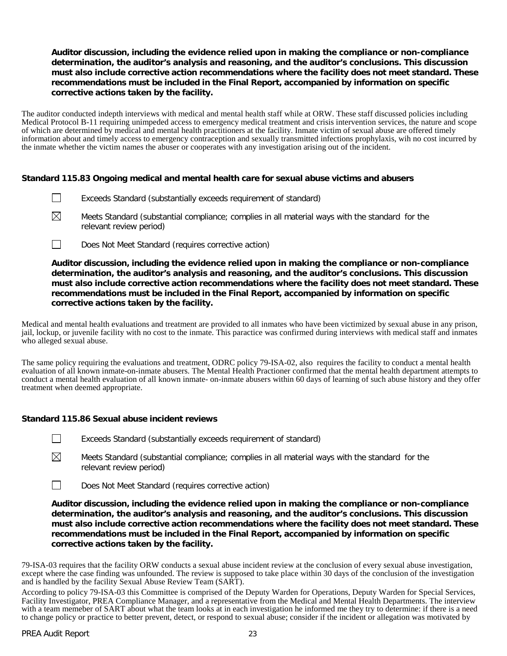### **Auditor discussion, including the evidence relied upon in making the compliance or non-compliance determination, the auditor's analysis and reasoning, and the auditor's conclusions. This discussion must also include corrective action recommendations where the facility does not meet standard. These recommendations must be included in the Final Report, accompanied by information on specific corrective actions taken by the facility.**

The auditor conducted indepth interviews with medical and mental health staff while at ORW. These staff discussed policies including Medical Protocol B-11 requiring unimpeded access to emergency medical treatment and crisis intervention services, the nature and scope of which are determined by medical and mental health practitioners at the facility. Inmate victim of sexual abuse are offered timely information about and timely access to emergency contraception and sexually transmitted infections prophylaxis, wih no cost incurred by the inmate whether the victim names the abuser or cooperates with any investigation arising out of the incident.

### **Standard 115.83 Ongoing medical and mental health care for sexual abuse victims and abusers**

- $\Box$ Exceeds Standard (substantially exceeds requirement of standard)
- ⊠ Meets Standard (substantial compliance; complies in all material ways with the standard for the relevant review period)
- $\Box$ Does Not Meet Standard (requires corrective action)

**Auditor discussion, including the evidence relied upon in making the compliance or non-compliance determination, the auditor's analysis and reasoning, and the auditor's conclusions. This discussion must also include corrective action recommendations where the facility does not meet standard. These recommendations must be included in the Final Report, accompanied by information on specific corrective actions taken by the facility.**

Medical and mental health evaluations and treatment are provided to all inmates who have been victimized by sexual abuse in any prison, jail, lockup, or juvenile facility with no cost to the inmate. This paractice was confirmed during interviews with medical staff and inmates who alleged sexual abuse.

The same policy requiring the evaluations and treatment, ODRC policy 79-ISA-02, also requires the facility to conduct a mental health evaluation of all known inmate-on-inmate abusers. The Mental Health Practioner confirmed that the mental health department attempts to conduct a mental health evaluation of all known inmate- on-inmate abusers within 60 days of learning of such abuse history and they offer treatment when deemed appropriate.

### **Standard 115.86 Sexual abuse incident reviews**

- П Exceeds Standard (substantially exceeds requirement of standard)
- $\boxtimes$ Meets Standard (substantial compliance; complies in all material ways with the standard for the relevant review period)
- Does Not Meet Standard (requires corrective action)  $\perp$

**Auditor discussion, including the evidence relied upon in making the compliance or non-compliance determination, the auditor's analysis and reasoning, and the auditor's conclusions. This discussion must also include corrective action recommendations where the facility does not meet standard. These recommendations must be included in the Final Report, accompanied by information on specific corrective actions taken by the facility.**

79-ISA-03 requires that the facility ORW conducts a sexual abuse incident review at the conclusion of every sexual abuse investigation, except where the case finding was unfounded. The review is supposed to take place within 30 days of the conclusion of the investigation and is handled by the facility Sexual Abuse Review Team (SART).

According to policy 79-ISA-03 this Committee is comprised of the Deputy Warden for Operations, Deputy Warden for Special Services, Facility Investigator, PREA Compliance Manager, and a representative from the Medical and Mental Health Departments. The interview with a team memeber of SART about what the team looks at in each investigation he informed me they try to determine: if there is a need to change policy or practice to better prevent, detect, or respond to sexual abuse; consider if the incident or allegation was motivated by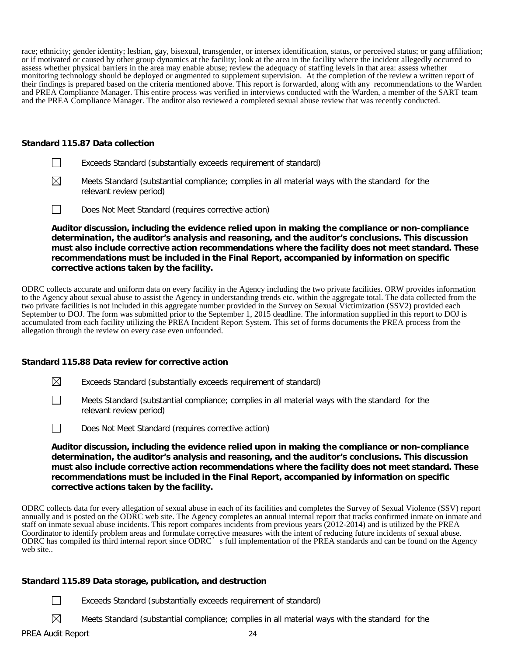race; ethnicity; gender identity; lesbian, gay, bisexual, transgender, or intersex identification, status, or perceived status; or gang affiliation; or if motivated or caused by other group dynamics at the facility; look at the area in the facility where the incident allegedly occurred to assess whether physical barriers in the area may enable abuse; review the adequacy of staffing levels in that area: assess whether monitoring technology should be deployed or augmented to supplement supervision. At the completion of the review a written report of their findings is prepared based on the criteria mentioned above. This report is forwarded, along with any recommendations to the Warden and PREA Compliance Manager. This entire process was verified in interviews conducted with the Warden, a member of the SART team and the PREA Compliance Manager. The auditor also reviewed a completed sexual abuse review that was recently conducted.

#### **Standard 115.87 Data collection**

- $\Box$ Exceeds Standard (substantially exceeds requirement of standard)
- $\boxtimes$ Meets Standard (substantial compliance; complies in all material ways with the standard for the relevant review period)
- $\Box$ Does Not Meet Standard (requires corrective action)

**Auditor discussion, including the evidence relied upon in making the compliance or non-compliance determination, the auditor's analysis and reasoning, and the auditor's conclusions. This discussion must also include corrective action recommendations where the facility does not meet standard. These recommendations must be included in the Final Report, accompanied by information on specific corrective actions taken by the facility.**

ODRC collects accurate and uniform data on every facility in the Agency including the two private facilities. ORW provides information to the Agency about sexual abuse to assist the Agency in understanding trends etc. within the aggregate total. The data collected from the two private facilities is not included in this aggregate number provided in the Survey on Sexual Victimization (SSV2) provided each September to DOJ. The form was submitted prior to the September 1, 2015 deadline. The information supplied in this report to DOJ is accumulated from each facility utilizing the PREA Incident Report System. This set of forms documents the PREA process from the allegation through the review on every case even unfounded.

### **Standard 115.88 Data review for corrective action**

- $\boxtimes$ Exceeds Standard (substantially exceeds requirement of standard)
- $\Box$ Meets Standard (substantial compliance; complies in all material ways with the standard for the relevant review period)
- $\Box$ Does Not Meet Standard (requires corrective action)

**Auditor discussion, including the evidence relied upon in making the compliance or non-compliance determination, the auditor's analysis and reasoning, and the auditor's conclusions. This discussion must also include corrective action recommendations where the facility does not meet standard. These recommendations must be included in the Final Report, accompanied by information on specific corrective actions taken by the facility.**

ODRC collects data for every allegation of sexual abuse in each of its facilities and completes the Survey of Sexual Violence (SSV) report annually and is posted on the ODRC web site. The Agency completes an annual internal report that tracks confirmed inmate on inmate and staff on inmate sexual abuse incidents. This report compares incidents from previous years (2012-2014) and is utilized by the PREA Coordinator to identify problem areas and formulate corrective measures with the intent of reducing future incidents of sexual abuse. ODRC has compiled its third internal report since ODRC's full implementation of the PREA standards and can be found on the Agency web site..

### **Standard 115.89 Data storage, publication, and destruction**

- Exceeds Standard (substantially exceeds requirement of standard)
	- Meets Standard (substantial compliance; complies in all material ways with the standard for the